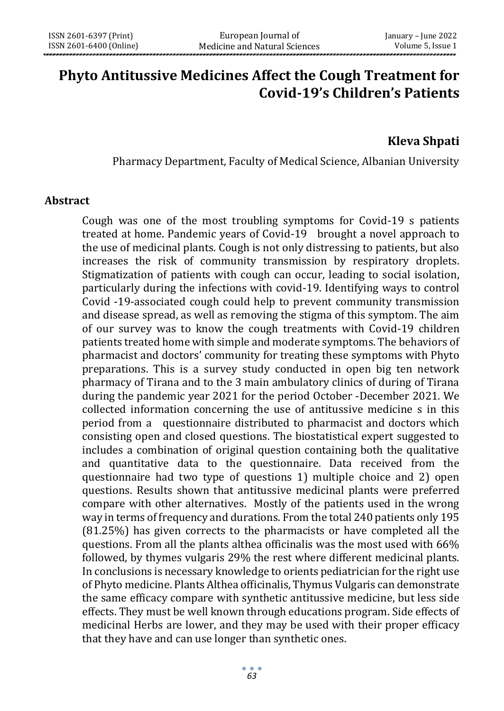# **Phyto Antitussive Medicines Affect the Cough Treatment for Covid-19's Children's Patients**

# **Kleva Shpati**

Pharmacy Department, Faculty of Medical Science, Albanian University

#### **Abstract**

Cough was one of the most troubling symptoms for Covid-19 s patients treated at home. Pandemic years of Covid-19 brought a novel approach to the use of medicinal plants. Cough is not only distressing to patients, but also increases the risk of community transmission by respiratory droplets. Stigmatization of patients with cough can occur, leading to social isolation, particularly during the infections with covid-19. Identifying ways to control Covid -19-associated cough could help to prevent community transmission and disease spread, as well as removing the stigma of this symptom. The aim of our survey was to know the cough treatments with Covid-19 children patients treated home with simple and moderate symptoms. The behaviors of pharmacist and doctors' community for treating these symptoms with Phyto preparations. This is a survey study conducted in open big ten network pharmacy of Tirana and to the 3 main ambulatory clinics of during of Tirana during the pandemic year 2021 for the period October -December 2021. We collected information concerning the use of antitussive medicine s in this period from a questionnaire distributed to pharmacist and doctors which consisting open and closed questions. The biostatistical expert suggested to includes a combination of original question containing both the qualitative and quantitative data to the questionnaire. Data received from the questionnaire had two type of questions 1) multiple choice and 2) open questions. Results shown that antitussive medicinal plants were preferred compare with other alternatives. Mostly of the patients used in the wrong way in terms of frequency and durations. From the total 240 patients only 195 (81.25%) has given corrects to the pharmacists or have completed all the questions. From all the plants althea officinalis was the most used with 66% followed, by thymes vulgaris 29% the rest where different medicinal plants. In conclusions is necessary knowledge to orients pediatrician for the right use of Phyto medicine. Plants Althea officinalis, Thymus Vulgaris can demonstrate the same efficacy compare with synthetic antitussive medicine, but less side effects. They must be well known through educations program. Side effects of medicinal Herbs are lower, and they may be used with their proper efficacy that they have and can use longer than synthetic ones.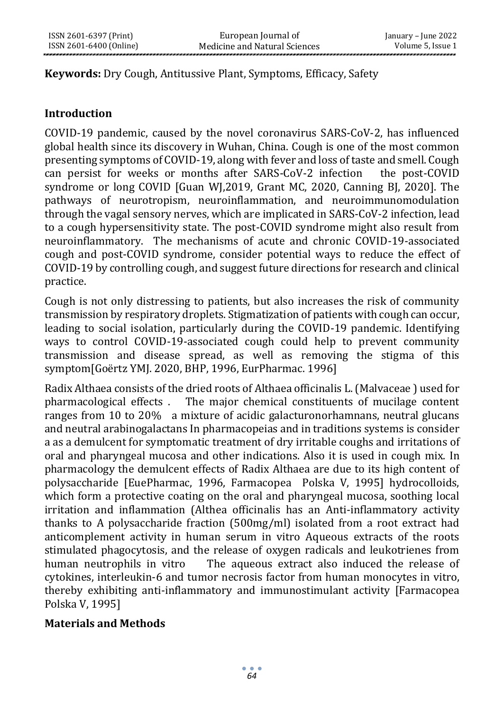#### **Keywords:** Dry Cough, Antitussive Plant, Symptoms, Efficacy, Safety

#### **Introduction**

COVID-19 pandemic, caused by the novel coronavirus SARS-CoV-2, has influenced global health since its discovery in Wuhan, China. Cough is one of the most common presenting symptoms of COVID-19, along with fever and loss of taste and smell. Cough can persist for weeks or months after SARS-CoV-2 infection the post-COVID syndrome or long COVID [Guan WJ,2019, Grant MC, 2020, Canning BJ, 2020]. The pathways of neurotropism, neuroinflammation, and neuroimmunomodulation through the vagal sensory nerves, which are implicated in SARS-CoV-2 infection, lead to a cough hypersensitivity state. The post-COVID syndrome might also result from neuroinflammatory. The mechanisms of acute and chronic COVID-19-associated cough and post-COVID syndrome, consider potential ways to reduce the effect of COVID-19 by controlling cough, and suggest future directions for research and clinical practice.

Cough is not only distressing to patients, but also increases the risk of community transmission by respiratory droplets. Stigmatization of patients with cough can occur, leading to social isolation, particularly during the COVID-19 pandemic. Identifying ways to control COVID-19-associated cough could help to prevent community transmission and disease spread, as well as removing the stigma of this symptom[Goërtz YMJ. 2020, BHP, 1996, EurPharmac. 1996]

Radix Althaea consists of the dried roots of Althaea officinalis L. (Malvaceae ) used for pharmacological effects . The major chemical constituents of mucilage content ranges from 10 to 20% a mixture of acidic galacturonorhamnans, neutral glucans and neutral arabinogalactans In pharmacopeias and in traditions systems is consider a as a demulcent for symptomatic treatment of dry irritable coughs and irritations of oral and pharyngeal mucosa and other indications. Also it is used in cough mix. In pharmacology the demulcent effects of Radix Althaea are due to its high content of polysaccharide [EuePharmac, 1996, Farmacopea Polska V, 1995] hydrocolloids, which form a protective coating on the oral and pharyngeal mucosa, soothing local irritation and inflammation (Althea officinalis has an Anti-inflammatory activity thanks to A polysaccharide fraction (500mg/ml) isolated from a root extract had anticomplement activity in human serum in vitro Aqueous extracts of the roots stimulated phagocytosis, and the release of oxygen radicals and leukotrienes from human neutrophils in vitro The aqueous extract also induced the release of cytokines, interleukin-6 and tumor necrosis factor from human monocytes in vitro, thereby exhibiting anti-inflammatory and immunostimulant activity [Farmacopea Polska V, 1995]

#### **Materials and Methods**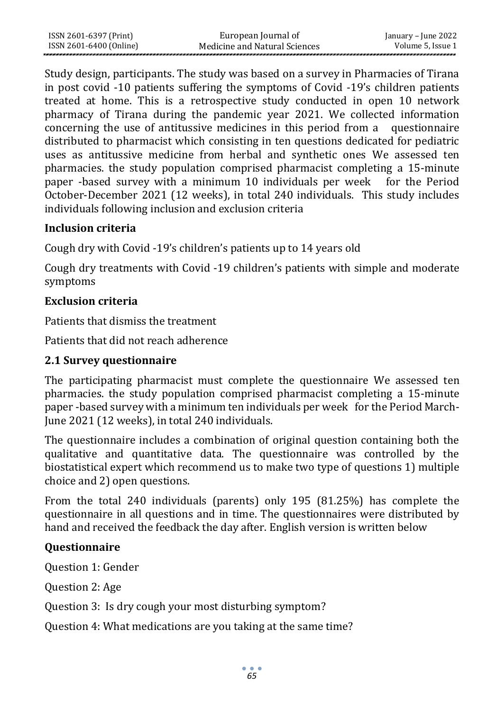| ISSN 2601-6397 (Print)  | European Journal of           | January – June 2022 |
|-------------------------|-------------------------------|---------------------|
| ISSN 2601-6400 (Online) | Medicine and Natural Sciences | Volume 5. Issue 1   |

Study design, participants. The study was based on a survey in Pharmacies of Tirana in post covid -10 patients suffering the symptoms of Covid -19's children patients treated at home. This is a retrospective study conducted in open 10 network pharmacy of Tirana during the pandemic year 2021. We collected information concerning the use of antitussive medicines in this period from a questionnaire distributed to pharmacist which consisting in ten questions dedicated for pediatric uses as antitussive medicine from herbal and synthetic ones We assessed ten pharmacies. the study population comprised pharmacist completing a 15-minute paper -based survey with a minimum 10 individuals per week for the Period October-December 2021 (12 weeks), in total 240 individuals. This study includes individuals following inclusion and exclusion criteria

#### **Inclusion criteria**

Cough dry with Covid -19's children's patients up to 14 years old

Cough dry treatments with Covid -19 children's patients with simple and moderate symptoms

## **Exclusion criteria**

Patients that dismiss the treatment

Patients that did not reach adherence

# **2.1 Survey questionnaire**

The participating pharmacist must complete the questionnaire We assessed ten pharmacies. the study population comprised pharmacist completing a 15-minute paper -based survey with a minimum ten individuals per week for the Period March-June 2021 (12 weeks), in total 240 individuals.

The questionnaire includes a combination of original question containing both the qualitative and quantitative data. The questionnaire was controlled by the biostatistical expert which recommend us to make two type of questions 1) multiple choice and 2) open questions.

From the total 240 individuals (parents) only 195 (81.25%) has complete the questionnaire in all questions and in time. The questionnaires were distributed by hand and received the feedback the day after. English version is written below

# **Questionnaire**

Question 1: Gender

Question 2: Age

Question 3: Is dry cough your most disturbing symptom?

Question 4: What medications are you taking at the same time?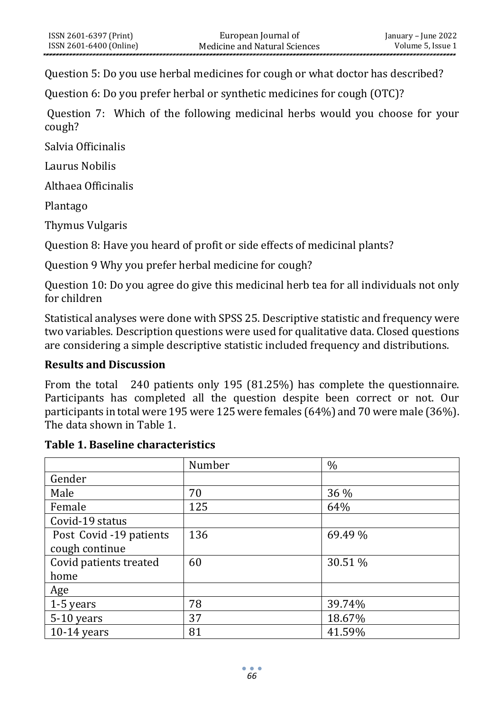Question 5: Do you use herbal medicines for cough or what doctor has described?

Question 6: Do you prefer herbal or synthetic medicines for cough (OTC)?

Question 7: Which of the following medicinal herbs would you choose for your cough?

Salvia Officinalis

Laurus Nobilis

Althaea Officinalis

Plantago

Thymus Vulgaris

Question 8: Have you heard of profit or side effects of medicinal plants?

Question 9 Why you prefer herbal medicine for cough?

Question 10: Do you agree do give this medicinal herb tea for all individuals not only for children

Statistical analyses were done with SPSS 25. Descriptive statistic and frequency were two variables. Description questions were used for qualitative data. Closed questions are considering a simple descriptive statistic included frequency and distributions.

#### **Results and Discussion**

From the total 240 patients only 195 (81.25%) has complete the questionnaire. Participants has completed all the question despite been correct or not. Our participants in total were 195 were 125 were females (64%) and 70 were male (36%). The data shown in Table 1.

#### **Table 1. Baseline characteristics**

|                         | Number | $\frac{0}{0}$ |
|-------------------------|--------|---------------|
| Gender                  |        |               |
| Male                    | 70     | 36 %          |
| Female                  | 125    | 64%           |
| Covid-19 status         |        |               |
| Post Covid -19 patients | 136    | 69.49 %       |
| cough continue          |        |               |
| Covid patients treated  | 60     | 30.51 %       |
| home                    |        |               |
| <u>Age</u>              |        |               |
| 1-5 years               | 78     | 39.74%        |
| 5-10 years              | 37     | 18.67%        |
| $10-14$ years           | 81     | 41.59%        |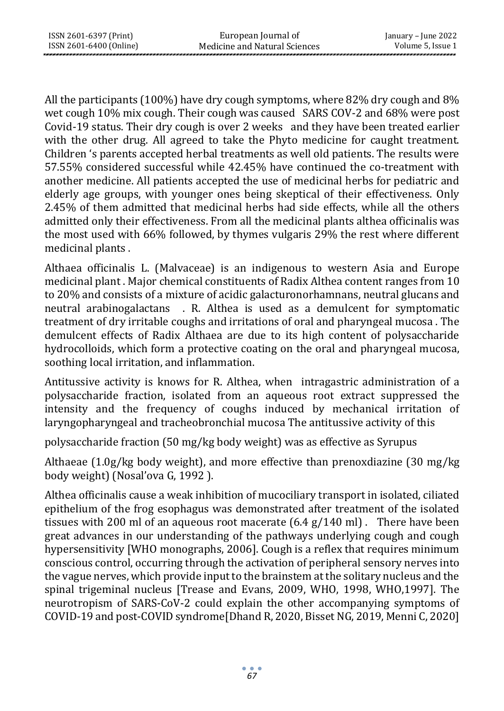All the participants (100%) have dry cough symptoms, where 82% dry cough and 8% wet cough 10% mix cough. Their cough was caused SARS COV-2 and 68% were post Covid-19 status. Their dry cough is over 2 weeks and they have been treated earlier with the other drug. All agreed to take the Phyto medicine for caught treatment. Children 's parents accepted herbal treatments as well old patients. The results were 57.55% considered successful while 42.45% have continued the co-treatment with another medicine. All patients accepted the use of medicinal herbs for pediatric and elderly age groups, with younger ones being skeptical of their effectiveness. Only 2.45% of them admitted that medicinal herbs had side effects, while all the others admitted only their effectiveness. From all the medicinal plants althea officinalis was the most used with 66% followed, by thymes vulgaris 29% the rest where different medicinal plants .

Althaea officinalis L. (Malvaceae) is an indigenous to western Asia and Europe medicinal plant . Major chemical constituents of Radix Althea content ranges from 10 to 20% and consists of a mixture of acidic galacturonorhamnans, neutral glucans and neutral arabinogalactans . R. Althea is used as a demulcent for symptomatic treatment of dry irritable coughs and irritations of oral and pharyngeal mucosa . The demulcent effects of Radix Althaea are due to its high content of polysaccharide hydrocolloids, which form a protective coating on the oral and pharyngeal mucosa, soothing local irritation, and inflammation.

Antitussive activity is knows for R. Althea, when intragastric administration of a polysaccharide fraction, isolated from an aqueous root extract suppressed the intensity and the frequency of coughs induced by mechanical irritation of laryngopharyngeal and tracheobronchial mucosa The antitussive activity of this

polysaccharide fraction (50 mg/kg body weight) was as effective as Syrupus

Althaeae (1.0g/kg body weight), and more effective than prenoxdiazine (30 mg/kg body weight) (Nosal'ova G, 1992 ).

Althea officinalis cause a weak inhibition of mucociliary transport in isolated, ciliated epithelium of the frog esophagus was demonstrated after treatment of the isolated tissues with 200 ml of an aqueous root macerate  $(6.4 \text{ g}/140 \text{ ml})$ . There have been great advances in our understanding of the pathways underlying cough and cough hypersensitivity [WHO monographs, 2006]. Cough is a reflex that requires minimum conscious control, occurring through the activation of peripheral sensory nerves into the vague nerves, which provide input to the brainstem at the solitary nucleus and the spinal trigeminal nucleus [Trease and Evans, 2009, WHO, 1998, WHO,1997]. The neurotropism of SARS-CoV-2 could explain the other accompanying symptoms of COVID-19 and post-COVID syndrome[Dhand R, 2020, Bisset NG, 2019, Menni C, 2020]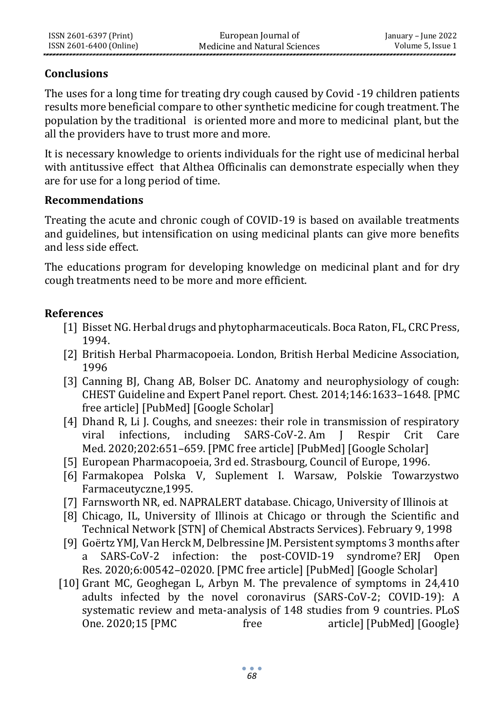# **Conclusions**

The uses for a long time for treating dry cough caused by Covid -19 children patients results more beneficial compare to other synthetic medicine for cough treatment. The population by the traditional is oriented more and more to medicinal plant, but the all the providers have to trust more and more.

It is necessary knowledge to orients individuals for the right use of medicinal herbal with antitussive effect that Althea Officinalis can demonstrate especially when they are for use for a long period of time.

## **Recommendations**

Treating the acute and chronic cough of COVID-19 is based on available treatments and guidelines, but intensification on using medicinal plants can give more benefits and less side effect.

The educations program for developing knowledge on medicinal plant and for dry cough treatments need to be more and more efficient.

# **References**

- [1] Bisset NG. Herbal drugs and phytopharmaceuticals. Boca Raton, FL, CRC Press, 1994.
- [2] British Herbal Pharmacopoeia. London, British Herbal Medicine Association, 1996
- [3] Canning BJ, Chang AB, Bolser DC. Anatomy and neurophysiology of cough: CHEST Guideline and Expert Panel report. Chest. 2014;146:1633–1648. [\[PMC](https://www.ncbi.nlm.nih.gov/pmc/articles/PMC4251621/)  [free article\]](https://www.ncbi.nlm.nih.gov/pmc/articles/PMC4251621/) [\[PubMed\]](https://www.ncbi.nlm.nih.gov/pubmed/25188530) [\[Google Scholar\]](https://scholar.google.com/scholar_lookup?journal=Chest&title=Anatomy+and+neurophysiology+of+cough:+CHEST+Guideline+and+Expert+Panel+report&author=BJ+Canning&author=AB+Chang&author=DC+Bolser&volume=146&publication_year=2014&pages=1633-1648&pmid=25188530&)
- [4] Dhand R, Li J. Coughs, and sneezes: their role in transmission of respiratory viral infections, including SARS-CoV-2. Am J Respir Crit Care Med. 2020;202:651–659. [\[PMC free article\]](https://www.ncbi.nlm.nih.gov/pmc/articles/PMC7462404/) [\[PubMed\]](https://www.ncbi.nlm.nih.gov/pubmed/32543913) [\[Google Scholar\]](https://scholar.google.com/scholar_lookup?journal=Am+J+Respir+Crit+Care+Med&title=Coughs+and+sneezes:+their+role+in+transmission+of+respiratory+viral+infections,+including+SARS-CoV-2&author=R+Dhand&author=J+Li&volume=202&publication_year=2020&pages=651-659&pmid=32543913&)
- [5] European Pharmacopoeia, 3rd ed. Strasbourg, Council of Europe, 1996.
- [6] Farmakopea Polska V, Suplement I. Warsaw, Polskie Towarzystwo Farmaceutyczne,1995.
- [7] Farnsworth NR, ed. NAPRALERT database. Chicago, University of Illinois at
- [8] Chicago, IL, University of Illinois at Chicago or through the Scientific and Technical Network [STN] of Chemical Abstracts Services). February 9, 1998
- [9] Goërtz YMJ, Van Herck M, Delbressine JM. Persistent symptoms 3 months after a SARS-CoV-2 infection: the post-COVID-19 syndrome? ERJ Open Res. 2020;6:00542–02020. [\[PMC free article\]](https://www.ncbi.nlm.nih.gov/pmc/articles/PMC7491255/) [\[PubMed\]](https://www.ncbi.nlm.nih.gov/pubmed/33257910) [\[Google Scholar\]](https://scholar.google.com/scholar_lookup?journal=ERJ+Open+Res&title=Persistent+symptoms+3+months+after+a+SARS-CoV-2+infection:+the+post-COVID-19+syndrome?&author=YMJ+Go%C3%ABrtz&author=M+Van+Herck&author=JM+Delbressine&volume=6&publication_year=2020&pages=00542-02020&pmid=33257910&)
- [10] Grant MC, Geoghegan L, Arbyn M. The prevalence of symptoms in 24,410 adults infected by the novel coronavirus (SARS-CoV-2; COVID-19): A systematic review and meta-analysis of 148 studies from 9 countries. PLoS One. 2020;15 [\[PMC free article\]](https://www.ncbi.nlm.nih.gov/pmc/articles/PMC7310678/) [\[PubMed\]](https://www.ncbi.nlm.nih.gov/pubmed/32574165) [Google]